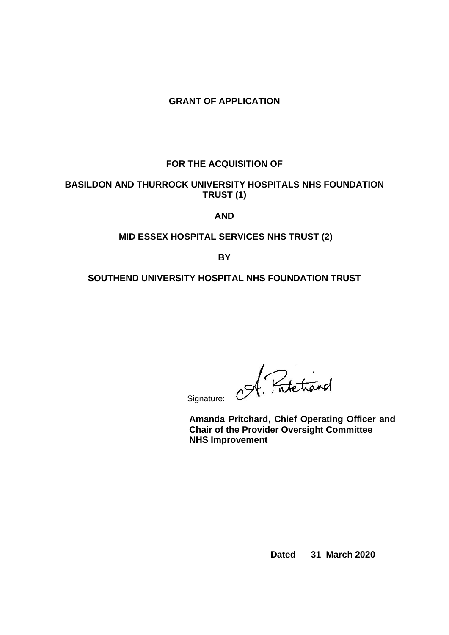# **GRANT OF APPLICATION**

# **FOR THE ACQUISITION OF**

## **BASILDON AND THURROCK UNIVERSITY HOSPITALS NHS FOUNDATION TRUST (1)**

### **AND**

## **MID ESSEX HOSPITAL SERVICES NHS TRUST (2)**

**BY**

### **SOUTHEND UNIVERSITY HOSPITAL NHS FOUNDATION TRUST**

Signature: Of. Protectional

**Amanda Pritchard, Chief Operating Officer and Chair of the Provider Oversight Committee NHS Improvement**

**Dated 31 March 2020**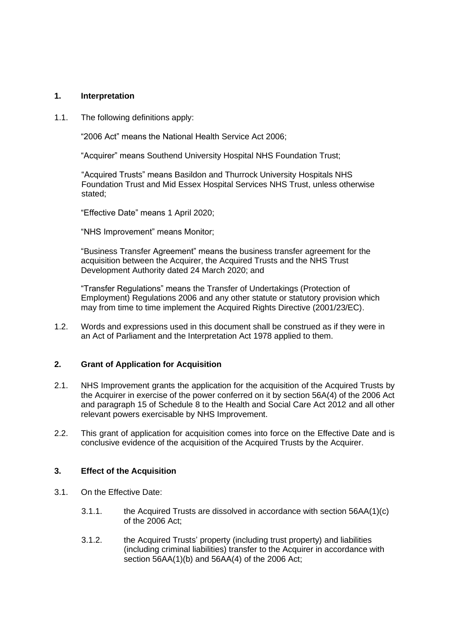#### **1. Interpretation**

1.1. The following definitions apply:

"2006 Act" means the National Health Service Act 2006;

"Acquirer" means Southend University Hospital NHS Foundation Trust;

"Acquired Trusts" means Basildon and Thurrock University Hospitals NHS Foundation Trust and Mid Essex Hospital Services NHS Trust, unless otherwise stated;

"Effective Date" means 1 April 2020;

"NHS Improvement" means Monitor;

"Business Transfer Agreement" means the business transfer agreement for the acquisition between the Acquirer, the Acquired Trusts and the NHS Trust Development Authority dated 24 March 2020; and

"Transfer Regulations" means the Transfer of Undertakings (Protection of Employment) Regulations 2006 and any other statute or statutory provision which may from time to time implement the Acquired Rights Directive (2001/23/EC).

1.2. Words and expressions used in this document shall be construed as if they were in an Act of Parliament and the Interpretation Act 1978 applied to them.

## **2. Grant of Application for Acquisition**

- 2.1. NHS Improvement grants the application for the acquisition of the Acquired Trusts by the Acquirer in exercise of the power conferred on it by section 56A(4) of the 2006 Act and paragraph 15 of Schedule 8 to the Health and Social Care Act 2012 and all other relevant powers exercisable by NHS Improvement.
- 2.2. This grant of application for acquisition comes into force on the Effective Date and is conclusive evidence of the acquisition of the Acquired Trusts by the Acquirer.

#### **3. Effect of the Acquisition**

- 3.1. On the Effective Date:
	- 3.1.1. the Acquired Trusts are dissolved in accordance with section 56AA(1)(c) of the 2006 Act;
	- 3.1.2. the Acquired Trusts' property (including trust property) and liabilities (including criminal liabilities) transfer to the Acquirer in accordance with section 56AA(1)(b) and 56AA(4) of the 2006 Act;